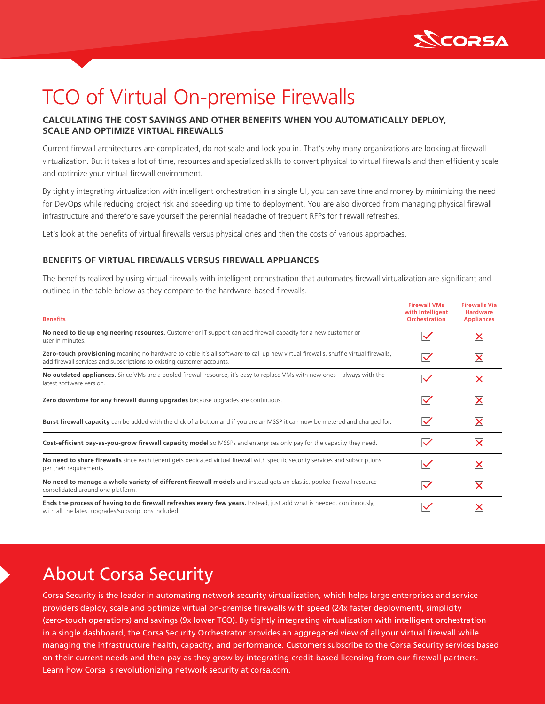

# TCO of Virtual On-premise Firewalls

### **CALCULATING THE COST SAVINGS AND OTHER BENEFITS WHEN YOU AUTOMATICALLY DEPLOY, SCALE AND OPTIMIZE VIRTUAL FIREWALLS**

Current firewall architectures are complicated, do not scale and lock you in. That's why many organizations are looking at firewall virtualization. But it takes a lot of time, resources and specialized skills to convert physical to virtual firewalls and then efficiently scale and optimize your virtual firewall environment.

By tightly integrating virtualization with intelligent orchestration in a single UI, you can save time and money by minimizing the need for DevOps while reducing project risk and speeding up time to deployment. You are also divorced from managing physical firewall infrastructure and therefore save yourself the perennial headache of frequent RFPs for firewall refreshes.

Let's look at the benefits of virtual firewalls versus physical ones and then the costs of various approaches.

#### **BENEFITS OF VIRTUAL FIREWALLS VERSUS FIREWALL APPLIANCES**

The benefits realized by using virtual firewalls with intelligent orchestration that automates firewall virtualization are significant and outlined in the table below as they compare to the hardware-based firewalls.

| <b>Benefits</b>                                                                                                                                                                                               | <b>Firewall VMs</b><br>with Intelligent<br><b>Orchestration</b> | <b>Firewalls Via</b><br><b>Hardware</b><br><b>Appliances</b> |
|---------------------------------------------------------------------------------------------------------------------------------------------------------------------------------------------------------------|-----------------------------------------------------------------|--------------------------------------------------------------|
| No need to tie up engineering resources. Customer or IT support can add firewall capacity for a new customer or<br>user in minutes.                                                                           | $\checkmark$                                                    | ⋉                                                            |
| Zero-touch provisioning meaning no hardware to cable it's all software to call up new virtual firewalls, shuffle virtual firewalls,<br>add firewall services and subscriptions to existing customer accounts. | $\blacktriangledown$                                            | ⋉                                                            |
| No outdated appliances. Since VMs are a pooled firewall resource, it's easy to replace VMs with new ones - always with the<br>latest software version.                                                        | $\checkmark$                                                    | ⊠                                                            |
| Zero downtime for any firewall during upgrades because upgrades are continuous.                                                                                                                               | $\checkmark$                                                    | ΙX                                                           |
| Burst firewall capacity can be added with the click of a button and if you are an MSSP it can now be metered and charged for.                                                                                 | $\checkmark$                                                    | ⋉                                                            |
| Cost-efficient pay-as-you-grow firewall capacity model so MSSPs and enterprises only pay for the capacity they need.                                                                                          | $\checkmark$                                                    | ΙX                                                           |
| No need to share firewalls since each tenent gets dedicated virtual firewall with specific security services and subscriptions<br>per their requirements.                                                     | $\checkmark$                                                    | ΙX                                                           |
| No need to manage a whole variety of different firewall models and instead gets an elastic, pooled firewall resource<br>consolidated around one platform.                                                     | $\checkmark$                                                    | ⋉                                                            |
| Ends the process of having to do firewall refreshes every few years. Instead, just add what is needed, continuously,<br>with all the latest upgrades/subscriptions included.                                  |                                                                 |                                                              |

## About Corsa Security

Corsa Security is the leader in automating network security virtualization, which helps large enterprises and service providers deploy, scale and optimize virtual on-premise firewalls with speed (24x faster deployment), simplicity (zero-touch operations) and savings (9x lower TCO). By tightly integrating virtualization with intelligent orchestration in a single dashboard, the Corsa Security Orchestrator provides an aggregated view of all your virtual firewall while managing the infrastructure health, capacity, and performance. Customers subscribe to the Corsa Security services based on their current needs and then pay as they grow by integrating credit-based licensing from our firewall partners. Learn how Corsa is revolutionizing network security at [corsa.com](http://corsa.com).